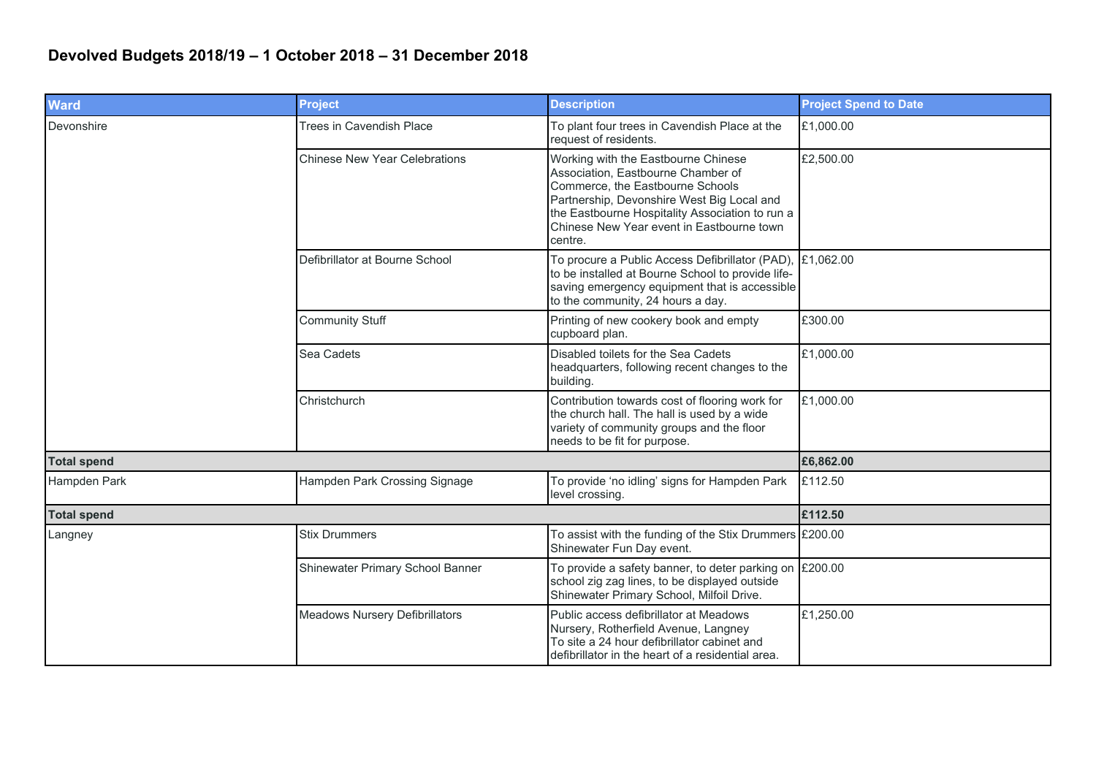## **Devolved Budgets 2018/19 – 1 October 2018 – 31 December 2018**

| <b>Ward</b>        | <b>Project</b>                        | <b>Description</b>                                                                                                                                                                                                                                                     | <b>Project Spend to Date</b> |
|--------------------|---------------------------------------|------------------------------------------------------------------------------------------------------------------------------------------------------------------------------------------------------------------------------------------------------------------------|------------------------------|
| Devonshire         | <b>Trees in Cavendish Place</b>       | To plant four trees in Cavendish Place at the<br>request of residents.                                                                                                                                                                                                 | £1,000.00                    |
|                    | <b>Chinese New Year Celebrations</b>  | Working with the Eastbourne Chinese<br>Association, Eastbourne Chamber of<br>Commerce, the Eastbourne Schools<br>Partnership, Devonshire West Big Local and<br>the Eastbourne Hospitality Association to run a<br>Chinese New Year event in Eastbourne town<br>centre. | £2,500.00                    |
|                    | Defibrillator at Bourne School        | To procure a Public Access Defibrillator (PAD), £1,062.00<br>to be installed at Bourne School to provide life-<br>saving emergency equipment that is accessible<br>to the community, 24 hours a day.                                                                   |                              |
|                    | <b>Community Stuff</b>                | Printing of new cookery book and empty<br>cupboard plan.                                                                                                                                                                                                               | £300.00                      |
|                    | Sea Cadets                            | Disabled toilets for the Sea Cadets<br>headquarters, following recent changes to the<br>building.                                                                                                                                                                      | £1,000.00                    |
|                    | Christchurch                          | Contribution towards cost of flooring work for<br>the church hall. The hall is used by a wide<br>variety of community groups and the floor<br>needs to be fit for purpose.                                                                                             | £1,000.00                    |
| <b>Total spend</b> |                                       |                                                                                                                                                                                                                                                                        | £6,862.00                    |
| Hampden Park       | Hampden Park Crossing Signage         | To provide 'no idling' signs for Hampden Park<br>level crossing.                                                                                                                                                                                                       | £112.50                      |
| <b>Total spend</b> |                                       |                                                                                                                                                                                                                                                                        | £112.50                      |
| Langney            | <b>Stix Drummers</b>                  | To assist with the funding of the Stix Drummers $\lvert$ £200.00<br>Shinewater Fun Day event.                                                                                                                                                                          |                              |
|                    | Shinewater Primary School Banner      | To provide a safety banner, to deter parking on $\lvert$ £200.00<br>school zig zag lines, to be displayed outside<br>Shinewater Primary School, Milfoil Drive.                                                                                                         |                              |
|                    | <b>Meadows Nursery Defibrillators</b> | Public access defibrillator at Meadows<br>Nursery, Rotherfield Avenue, Langney<br>To site a 24 hour defibrillator cabinet and<br>defibrillator in the heart of a residential area.                                                                                     | £1,250.00                    |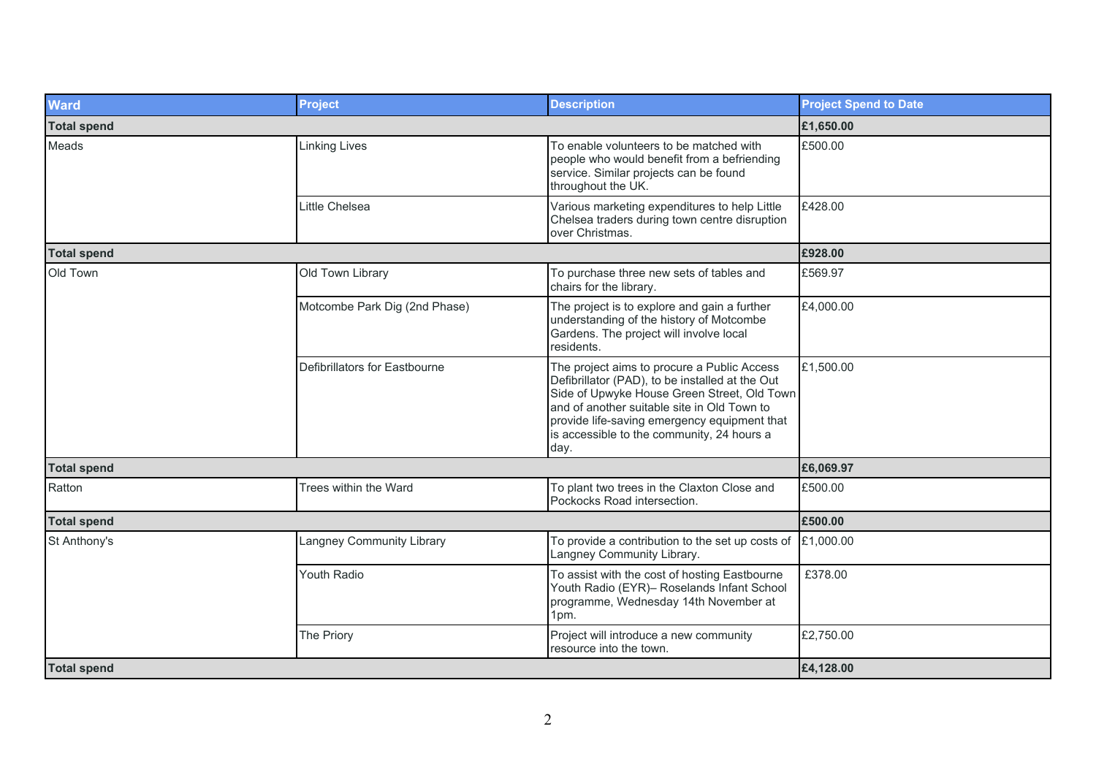| <b>Ward</b>        | <b>Project</b>                | <b>Description</b>                                                                                                                                                                                                                                                                                 | <b>Project Spend to Date</b> |
|--------------------|-------------------------------|----------------------------------------------------------------------------------------------------------------------------------------------------------------------------------------------------------------------------------------------------------------------------------------------------|------------------------------|
| <b>Total spend</b> |                               |                                                                                                                                                                                                                                                                                                    | £1,650.00                    |
| Meads              | Linking Lives                 | To enable volunteers to be matched with<br>people who would benefit from a befriending<br>service. Similar projects can be found<br>throughout the UK.                                                                                                                                             | £500.00                      |
|                    | Little Chelsea                | Various marketing expenditures to help Little<br>Chelsea traders during town centre disruption<br>over Christmas.                                                                                                                                                                                  | £428.00                      |
| <b>Total spend</b> |                               |                                                                                                                                                                                                                                                                                                    | £928.00                      |
| Old Town           | Old Town Library              | To purchase three new sets of tables and<br>chairs for the library.                                                                                                                                                                                                                                | £569.97                      |
|                    | Motcombe Park Dig (2nd Phase) | The project is to explore and gain a further<br>understanding of the history of Motcombe<br>Gardens. The project will involve local<br>residents.                                                                                                                                                  | £4,000.00                    |
|                    | Defibrillators for Eastbourne | The project aims to procure a Public Access<br>Defibrillator (PAD), to be installed at the Out<br>Side of Upwyke House Green Street, Old Town<br>and of another suitable site in Old Town to<br>provide life-saving emergency equipment that<br>is accessible to the community, 24 hours a<br>day. | £1,500.00                    |
| <b>Total spend</b> |                               |                                                                                                                                                                                                                                                                                                    | £6,069.97                    |
| Ratton             | Trees within the Ward         | To plant two trees in the Claxton Close and<br>Pockocks Road intersection.                                                                                                                                                                                                                         | £500.00                      |
| <b>Total spend</b> |                               |                                                                                                                                                                                                                                                                                                    | £500.00                      |
| St Anthony's       | Langney Community Library     | To provide a contribution to the set up costs of<br>Langney Community Library.                                                                                                                                                                                                                     | £1,000.00                    |
|                    | Youth Radio                   | To assist with the cost of hosting Eastbourne<br>Youth Radio (EYR)- Roselands Infant School<br>programme, Wednesday 14th November at<br>1pm.                                                                                                                                                       | £378.00                      |
|                    | The Priory                    | Project will introduce a new community<br>resource into the town.                                                                                                                                                                                                                                  | £2,750.00                    |
| <b>Total spend</b> |                               |                                                                                                                                                                                                                                                                                                    | £4,128.00                    |